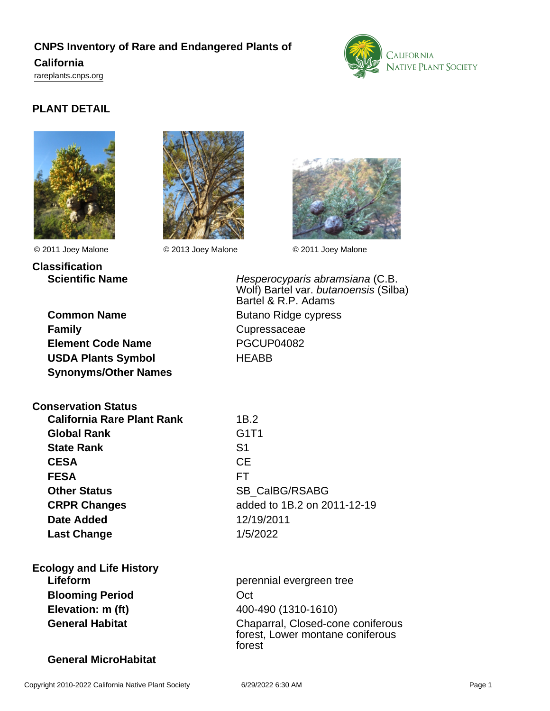# **CNPS Inventory of Rare and Endangered Plants of**

## **California**

<rareplants.cnps.org>



# **PLANT DETAIL**





**Classification**

© 2011 Joey Malone © 2013 Joey Malone © 2011 Joey Malone



| <b>Common Name</b>          |
|-----------------------------|
| <b>Family</b>               |
| <b>Element Code Name</b>    |
| <b>USDA Plants Symbol</b>   |
| <b>Synonyms/Other Names</b> |

**Scientific Name Hesperocyparis abramsiana (C.B.** Wolf) Bartel var. butanoensis (Silba) Bartel & R.P. Adams **Butano Ridge cypress Family** Cupressaceae **Element Code Name** PGCUP04082 **HFABB** 

**Conservation Status California Rare Plant Rank** 1B.2

**Global Rank** G1T1 **State Rank** S1 **CESA** CE **FESA** FT **Other Status** SB\_CalBG/RSABG **Date Added** 12/19/2011 **Last Change** 1/5/2022

**CRPR Changes** added to 1B.2 on 2011-12-19

**Ecology and Life History Blooming Period CCT Elevation: m (ft)** 400-490 (1310-1610)

**Lifeform perennial evergreen tree General Habitat** Chaparral, Closed-cone coniferous forest, Lower montane coniferous forest

## **General MicroHabitat**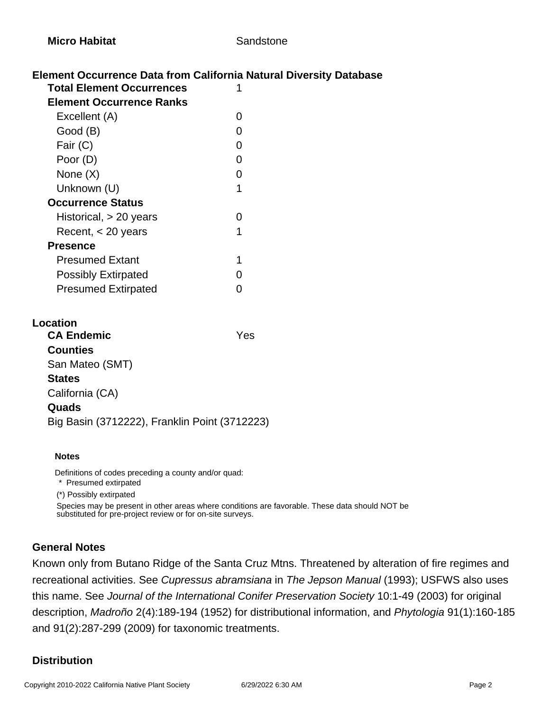## **Element Occurrence Data from California Natural Diversity Database**

| <b>Total Element Occurrences</b> |   |
|----------------------------------|---|
| <b>Element Occurrence Ranks</b>  |   |
| Excellent (A)                    |   |
| Good (B)                         |   |
| Fair (C)                         | O |
| Poor (D)                         | O |
| None $(X)$                       | O |
| Unknown (U)                      | 1 |
| <b>Occurrence Status</b>         |   |
| Historical, $> 20$ years         |   |
| Recent, $<$ 20 years             | 1 |
| <b>Presence</b>                  |   |
| <b>Presumed Extant</b>           |   |
| <b>Possibly Extirpated</b>       |   |
| <b>Presumed Extirpated</b>       |   |
|                                  |   |

#### **Location**

| <b>CA Endemic</b>                             | Yes |
|-----------------------------------------------|-----|
| <b>Counties</b>                               |     |
| San Mateo (SMT)                               |     |
| <b>States</b>                                 |     |
| California (CA)                               |     |
| Quads                                         |     |
| Big Basin (3712222), Franklin Point (3712223) |     |
|                                               |     |

#### **Notes**

Definitions of codes preceding a county and/or quad:

\* Presumed extirpated

(\*) Possibly extirpated

Species may be present in other areas where conditions are favorable. These data should NOT be substituted for pre-project review or for on-site surveys.

#### **General Notes**

Known only from Butano Ridge of the Santa Cruz Mtns. Threatened by alteration of fire regimes and recreational activities. See Cupressus abramsiana in The Jepson Manual (1993); USFWS also uses this name. See Journal of the International Conifer Preservation Society 10:1-49 (2003) for original description, Madroño 2(4):189-194 (1952) for distributional information, and Phytologia 91(1):160-185 and 91(2):287-299 (2009) for taxonomic treatments.

#### **Distribution**